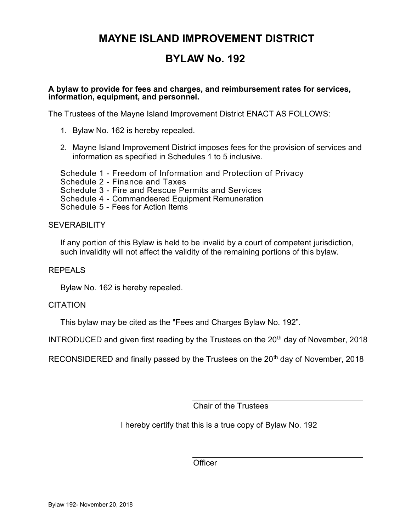### BYLAW No. 192

#### A bylaw to provide for fees and charges, and reimbursement rates for services, information, equipment, and personnel.

The Trustees of the Mayne Island Improvement District ENACT AS FOLLOWS:

- 1. Bylaw No. 162 is hereby repealed.
- 2. Mayne Island Improvement District imposes fees for the provision of services and information as specified in Schedules 1 to 5 inclusive.

Schedule 1 - Freedom of Information and Protection of Privacy

Schedule 2 - Finance and Taxes

Schedule 3 - Fire and Rescue Permits and Services

Schedule 4 - Commandeered Equipment Remuneration

Schedule 5 - Fees for Action Items

**SEVERABILITY** 

If any portion of this Bylaw is held to be invalid by a court of competent jurisdiction, such invalidity will not affect the validity of the remaining portions of this bylaw.

#### REPEALS

Bylaw No. 162 is hereby repealed.

#### **CITATION**

This bylaw may be cited as the "Fees and Charges Bylaw No. 192".

INTRODUCED and given first reading by the Trustees on the  $20<sup>th</sup>$  day of November, 2018

RECONSIDERED and finally passed by the Trustees on the 20<sup>th</sup> day of November, 2018

Chair of the Trustees

I hereby certify that this is a true copy of Bylaw No. 192

**Officer**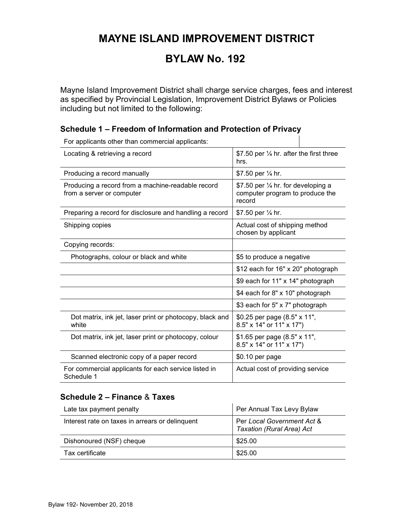# BYLAW No. 192

Mayne Island Improvement District shall charge service charges, fees and interest as specified by Provincial Legislation, Improvement District Bylaws or Policies including but not limited to the following:

#### Schedule 1 – Freedom of Information and Protection of Privacy

For applicants other than commercial applicants:

| Locating & retrieving a record                                                 | \$7.50 per $\frac{1}{4}$ hr. after the first three<br>hrs.                                 |
|--------------------------------------------------------------------------------|--------------------------------------------------------------------------------------------|
| Producing a record manually                                                    | \$7.50 per 1/4 hr.                                                                         |
| Producing a record from a machine-readable record<br>from a server or computer | \$7.50 per $\frac{1}{4}$ hr. for developing a<br>computer program to produce the<br>record |
| Preparing a record for disclosure and handling a record                        | \$7.50 per 1/4 hr.                                                                         |
| Shipping copies                                                                | Actual cost of shipping method<br>chosen by applicant                                      |
| Copying records:                                                               |                                                                                            |
| Photographs, colour or black and white                                         | \$5 to produce a negative                                                                  |
|                                                                                | \$12 each for 16" x 20" photograph                                                         |
|                                                                                | \$9 each for 11" x 14" photograph                                                          |
|                                                                                | \$4 each for 8" x 10" photograph                                                           |
|                                                                                | \$3 each for 5" x 7" photograph                                                            |
| Dot matrix, ink jet, laser print or photocopy, black and<br>white              | \$0.25 per page (8.5" x 11",<br>8.5" x 14" or 11" x 17")                                   |
| Dot matrix, ink jet, laser print or photocopy, colour                          | \$1.65 per page (8.5" x 11",<br>8.5" x 14" or 11" x 17")                                   |
| Scanned electronic copy of a paper record                                      | \$0.10 per page                                                                            |
| For commercial applicants for each service listed in<br>Schedule 1             | Actual cost of providing service                                                           |

#### Schedule 2 – Finance & Taxes

| Late tax payment penalty                        | Per Annual Tax Levy Bylaw                               |
|-------------------------------------------------|---------------------------------------------------------|
| Interest rate on taxes in arrears or delinguent | Per Local Government Act &<br>Taxation (Rural Area) Act |
| Dishonoured (NSF) cheque                        | \$25.00                                                 |
| Tax certificate                                 | \$25.00                                                 |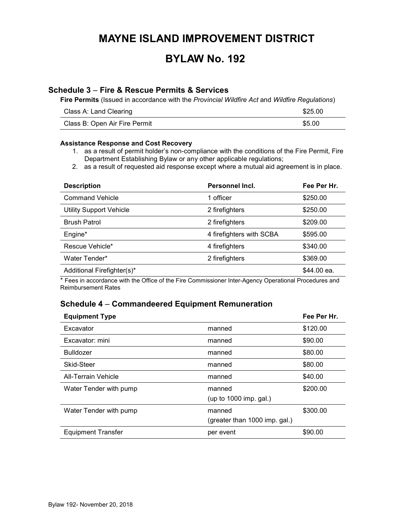### BYLAW No. 192

#### Schedule 3 – Fire & Rescue Permits & Services

Fire Permits (Issued in accordance with the Provincial Wildfire Act and Wildfire Regulations)

| Class A: Land Clearing        | \$25.00 |
|-------------------------------|---------|
| Class B: Open Air Fire Permit | \$5.00  |

#### Assistance Response and Cost Recovery

- 1. as a result of permit holder's non-compliance with the conditions of the Fire Permit, Fire Department Establishing Bylaw or any other applicable regulations;
- 2. as a result of requested aid response except where a mutual aid agreement is in place.

| <b>Description</b>             | Personnel Incl.          | Fee Per Hr. |
|--------------------------------|--------------------------|-------------|
| <b>Command Vehicle</b>         | 1 officer                | \$250.00    |
| <b>Utility Support Vehicle</b> | 2 firefighters           | \$250.00    |
| <b>Brush Patrol</b>            | 2 firefighters           | \$209.00    |
| Engine*                        | 4 firefighters with SCBA | \$595.00    |
| Rescue Vehicle*                | 4 firefighters           | \$340.00    |
| Water Tender*                  | 2 firefighters           | \$369.00    |
| Additional Firefighter(s)*     |                          | \$44.00 ea. |

\* Fees in accordance with the Office of the Fire Commissioner Inter-Agency Operational Procedures and Reimbursement Rates

#### Schedule 4 – Commandeered Equipment Remuneration

| <b>Equipment Type</b>      |                                         | Fee Per Hr. |
|----------------------------|-----------------------------------------|-------------|
| Excavator                  | manned                                  | \$120.00    |
| Excavator: mini            | manned                                  | \$90.00     |
| <b>Bulldozer</b>           | manned                                  | \$80.00     |
| Skid-Steer                 | manned                                  | \$80.00     |
| <b>All-Terrain Vehicle</b> | manned                                  | \$40.00     |
| Water Tender with pump     | manned<br>(up to 1000 imp. gal.)        | \$200.00    |
| Water Tender with pump     | manned<br>(greater than 1000 imp. gal.) | \$300.00    |
| <b>Equipment Transfer</b>  | per event                               | \$90.00     |